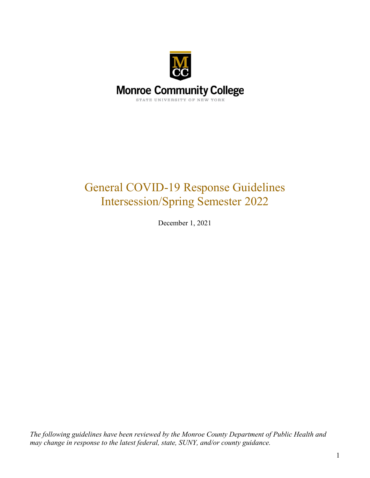

# General COVID-19 Response Guidelines Intersession/Spring Semester 2022

December 1, 2021

*The following guidelines have been reviewed by the Monroe County Department of Public Health and may change in response to the latest federal, state, SUNY, and/or county guidance.*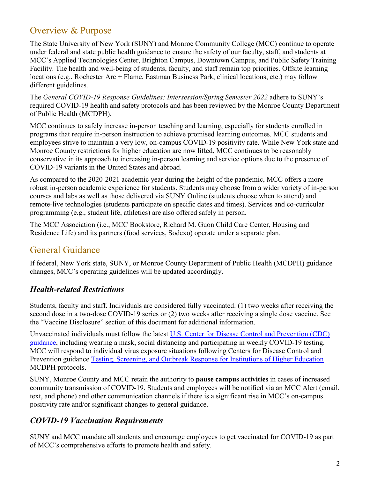### Overview & Purpose

The State University of New York (SUNY) and Monroe Community College (MCC) continue to operate under federal and state public health guidance to ensure the safety of our faculty, staff, and students at MCC's Applied Technologies Center, Brighton Campus, Downtown Campus, and Public Safety Training Facility. The health and well-being of students, faculty, and staff remain top priorities. Offsite learning locations (e.g., Rochester Arc + Flame, Eastman Business Park, clinical locations, etc.) may follow different guidelines.

The *General COVID-19 Response Guidelines: Intersession/Spring Semester 2022* adhere to SUNY's required COVID-19 health and safety protocols and has been reviewed by the Monroe County Department of Public Health (MCDPH).

MCC continues to safely increase in-person teaching and learning, especially for students enrolled in programs that require in-person instruction to achieve promised learning outcomes. MCC students and employees strive to maintain a very low, on-campus COVID-19 positivity rate. While New York state and Monroe County restrictions for higher education are now lifted, MCC continues to be reasonably conservative in its approach to increasing in-person learning and service options due to the presence of COVID-19 variants in the United States and abroad.

As compared to the 2020-2021 academic year during the height of the pandemic, MCC offers a more robust in-person academic experience for students. Students may choose from a wider variety of in-person courses and labs as well as those delivered via SUNY Online (students choose when to attend) and remote-live technologies (students participate on specific dates and times). Services and co-curricular programming (e.g., student life, athletics) are also offered safely in person.

The MCC Association (i.e., MCC Bookstore, Richard M. Guon Child Care Center, Housing and Residence Life) and its partners (food services, Sodexo) operate under a separate plan.

### General Guidance

If federal, New York state, SUNY, or Monroe County Department of Public Health (MCDPH) guidance changes, MCC's operating guidelines will be updated accordingly.

### *Health-related Restrictions*

Students, faculty and staff. Individuals are considered fully vaccinated: (1) two weeks after receiving the second dose in a two-dose COVID-19 series or (2) two weeks after receiving a single dose vaccine. See the "Vaccine Disclosure" section of this document for additional information.

Unvaccinated individuals must follow the latest [U.S. Center for Disease Control and Prevention \(CDC\)](https://www.cdc.gov/coronavirus/2019-ncov/community/colleges-universities/index.html)  [guidance,](https://www.cdc.gov/coronavirus/2019-ncov/community/colleges-universities/index.html) including wearing a mask, social distancing and participating in weekly COVID-19 testing. MCC will respond to individual virus exposure situations following Centers for Disease Control and Prevention guidance [Testing, Screening, and Outbreak Response for Institutions of Higher Education](https://www.cdc.gov/coronavirus/2019-ncov/community/colleges-universities/ihe-testing.html) MCDPH protocols.

SUNY, Monroe County and MCC retain the authority to **pause campus activities** in cases of increased community transmission of COVID-19. Students and employees will be notified via an MCC Alert (email, text, and phone) and other communication channels if there is a significant rise in MCC's on-campus positivity rate and/or significant changes to general guidance.

### *COVID-19 Vaccination Requirements*

SUNY and MCC mandate all students and encourage employees to get vaccinated for COVID-19 as part of MCC's comprehensive efforts to promote health and safety.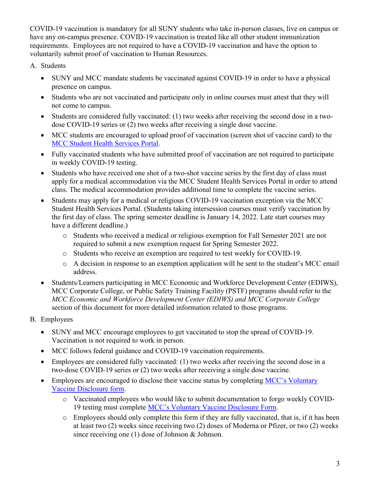COVID-19 vaccination is mandatory for all SUNY students who take in-person classes, live on campus or have any on-campus presence. COVID-19 vaccination is treated like all other student immunization requirements. Employees are not required to have a COVID-19 vaccination and have the option to voluntarily submit proof of vaccination to Human Resources.

#### A. Students

- SUNY and MCC mandate students be vaccinated against COVID-19 in order to have a physical presence on campus.
- Students who are not vaccinated and participate only in online courses must attest that they will not come to campus.
- Students are considered fully vaccinated: (1) two weeks after receiving the second dose in a twodose COVID-19 series or (2) two weeks after receiving a single dose vaccine.
- MCC students are encouraged to upload proof of vaccination (screen shot of vaccine card) to the [MCC Student Health Services Portal.](https://www.monroecc.edu/depts/stuhealth/student-health-services-portal/)
- Fully vaccinated students who have submitted proof of vaccination are not required to participate in weekly COVID-19 testing.
- Students who have received one shot of a two-shot vaccine series by the first day of class must apply for a medical accommodation via the MCC Student Health Services Portal in order to attend class. The medical accommodation provides additional time to complete the vaccine series.
- Students may apply for a medical or religious COVID-19 vaccination exception via the MCC Student Health Services Portal. (Students taking intersession courses must verify vaccination by the first day of class. The spring semester deadline is January 14, 2022. Late start courses may have a different deadline.)
	- o Students who received a medical or religious exemption for Fall Semester 2021 are not required to submit a new exemption request for Spring Semester 2022.
	- o Students who receive an exemption are required to test weekly for COVID-19.
	- o A decision in response to an exemption application will be sent to the student's MCC email address.
- Students/Learners participating in MCC Economic and Workforce Development Center (EDIWS), MCC Corporate College, or Public Safety Training Facility (PSTF) programs should refer to the *MCC Economic and Workforce Development Center (EDIWS) and MCC Corporate College* section of this document for more detailed information related to those programs.
- B. Employees
	- SUNY and MCC encourage employees to get vaccinated to stop the spread of COVID-19. Vaccination is not required to work in person.
	- MCC follows federal guidance and COVID-19 vaccination requirements.
	- Employees are considered fully vaccinated: (1) two weeks after receiving the second dose in a two-dose COVID-19 series or (2) two weeks after receiving a single dose vaccine.
	- Employees are encouraged to disclose their vaccine status by completing MCC's Voluntary [Vaccine Disclosure form.](https://auth.monroecc.edu/authenticationendpoint/login.do?RelayState=bEwGrNXjmaLO3P8PVSzuzQOtLXgCWD&commonAuthCallerPath=%2Fsamlsso&forceAuth=false&passiveAuth=false&tenantDomain=carbon.super&sessionDataKey=b27b3169-e641-4a61-b52c-57ea61a6d1fb&relyingParty=qafederation.ngwebsolutions.com&type=samlsso&sp=qafederation.ngwebsolutions.com&isSaaSApp=false&authenticators=BasicAuthenticator%3ALOCAL)
		- o Vaccinated employees who would like to submit documentation to forgo weekly COVID-19 testing must complete [MCC's Voluntary Vaccine Disclosure Form.](https://auth.monroecc.edu/authenticationendpoint/login.do?RelayState=bEwGrNXjmaLO3P8PVSzuzQOtLXgCWD&commonAuthCallerPath=%2Fsamlsso&forceAuth=false&passiveAuth=false&tenantDomain=carbon.super&sessionDataKey=b27b3169-e641-4a61-b52c-57ea61a6d1fb&relyingParty=qafederation.ngwebsolutions.com&type=samlsso&sp=qafederation.ngwebsolutions.com&isSaaSApp=false&authenticators=BasicAuthenticator%3ALOCAL)
		- o Employees should only complete this form if they are fully vaccinated, that is, if it has been at least two (2) weeks since receiving two (2) doses of Moderna or Pfizer, or two (2) weeks since receiving one (1) dose of Johnson & Johnson.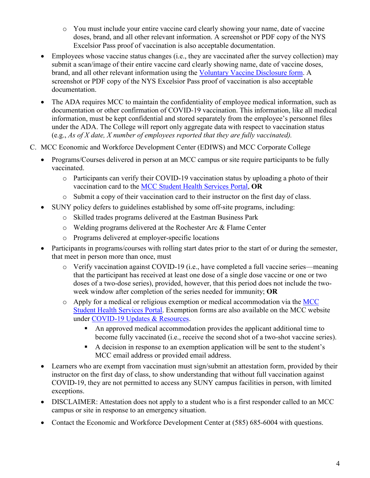- o You must include your entire vaccine card clearly showing your name, date of vaccine doses, brand, and all other relevant information. A screenshot or PDF copy of the NYS Excelsior Pass proof of vaccination is also acceptable documentation.
- Employees whose vaccine status changes (i.e., they are vaccinated after the survey collection) may submit a scan/image of their entire vaccine card clearly showing name, date of vaccine doses, brand, and all other relevant information using the [Voluntary Vaccine Disclosure form.](https://auth.monroecc.edu/authenticationendpoint/login.do?RelayState=DgtdLMmtAzevlBqHsr8ZALo0qqaCJD&commonAuthCallerPath=%2Fsamlsso&forceAuth=false&passiveAuth=false&tenantDomain=carbon.super&sessionDataKey=9902d0ca-3c43-44c1-8035-bcc9a1aa3844&relyingParty=qafederation.ngwebsolutions.com&type=samlsso&sp=qafederation.ngwebsolutions.com&isSaaSApp=false&authenticators=BasicAuthenticator%3ALOCAL) A screenshot or PDF copy of the NYS Excelsior Pass proof of vaccination is also acceptable documentation.
- The ADA requires MCC to maintain the confidentiality of employee medical information, such as documentation or other confirmation of COVID-19 vaccination. This information, like all medical information, must be kept confidential and stored separately from the employee's personnel files under the ADA. The College will report only aggregate data with respect to vaccination status (e.g., *As of X date, X number of employees reported that they are fully vaccinated).*
- C. MCC Economic and Workforce Development Center (EDIWS) and MCC Corporate College
	- Programs/Courses delivered in person at an MCC campus or site require participants to be fully vaccinated.
		- o Participants can verify their COVID-19 vaccination status by uploading a photo of their vaccination card to the [MCC Student Health Services Portal,](https://www.monroecc.edu/depts/stuhealth/student-health-services-portal/) **OR**
		- o Submit a copy of their vaccination card to their instructor on the first day of class.
	- SUNY policy defers to guidelines established by some off-site programs, including:
		- o Skilled trades programs delivered at the Eastman Business Park
		- $\circ$  Welding programs delivered at the Rochester Arc & Flame Center
		- o Programs delivered at employer-specific locations
	- Participants in programs/courses with rolling start dates prior to the start of or during the semester, that meet in person more than once, must
		- o Verify vaccination against COVID-19 (i.e., have completed a full vaccine series—meaning that the participant has received at least one dose of a single dose vaccine or one or two doses of a two-dose series), provided, however, that this period does not include the twoweek window after completion of the series needed for immunity; **OR**
		- $\circ$  Apply for a medical or religious exemption or medical accommodation via the MCC [Student Health Services Portal.](https://www.monroecc.edu/depts/stuhealth/student-health-services-portal/) Exemption forms are also available on the MCC website under [COVID-19 Updates & Resources.](https://www.monroecc.edu/coronavirus/)
			- An approved medical accommodation provides the applicant additional time to become fully vaccinated (i.e., receive the second shot of a two-shot vaccine series).
			- A decision in response to an exemption application will be sent to the student's MCC email address or provided email address.
	- Learners who are exempt from vaccination must sign/submit an attestation form, provided by their instructor on the first day of class, to show understanding that without full vaccination against COVID-19, they are not permitted to access any SUNY campus facilities in person, with limited exceptions.
	- DISCLAIMER: Attestation does not apply to a student who is a first responder called to an MCC campus or site in response to an emergency situation.
	- Contact the Economic and Workforce Development Center at (585) 685-6004 with questions.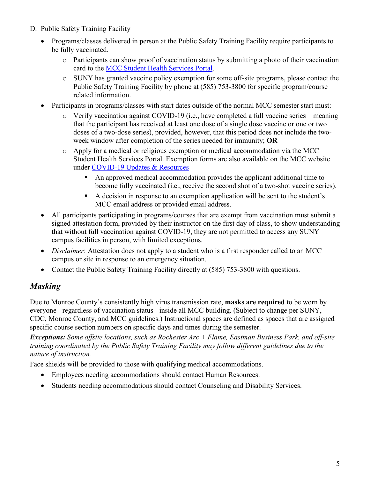- D. Public Safety Training Facility
	- Programs/classes delivered in person at the Public Safety Training Facility require participants to be fully vaccinated.
		- o Participants can show proof of vaccination status by submitting a photo of their vaccination card to the [MCC Student Health Services Portal.](https://www.monroecc.edu/depts/stuhealth/student-health-services-portal/)
		- o SUNY has granted vaccine policy exemption for some off-site programs, please contact the Public Safety Training Facility by phone at (585) 753-3800 for specific program/course related information.
	- Participants in programs/classes with start dates outside of the normal MCC semester start must:
		- o Verify vaccination against COVID-19 (i.e., have completed a full vaccine series—meaning that the participant has received at least one dose of a single dose vaccine or one or two doses of a two-dose series), provided, however, that this period does not include the twoweek window after completion of the series needed for immunity; **OR**
		- o Apply for a medical or religious exemption or medical accommodation via the MCC Student Health Services Portal. Exemption forms are also available on the MCC website under [COVID-19 Updates & Resources](https://www.monroecc.edu/coronavirus/)
			- An approved medical accommodation provides the applicant additional time to become fully vaccinated (i.e., receive the second shot of a two-shot vaccine series).
			- A decision in response to an exemption application will be sent to the student's MCC email address or provided email address.
	- All participants participating in programs/courses that are exempt from vaccination must submit a signed attestation form, provided by their instructor on the first day of class, to show understanding that without full vaccination against COVID-19, they are not permitted to access any SUNY campus facilities in person, with limited exceptions.
	- *Disclaimer*: Attestation does not apply to a student who is a first responder called to an MCC campus or site in response to an emergency situation.
	- Contact the Public Safety Training Facility directly at (585) 753-3800 with questions.

#### *Masking*

Due to Monroe County's consistently high virus transmission rate, **masks are required** to be worn by everyone - regardless of vaccination status - inside all MCC building. (Subject to change per SUNY, CDC, Monroe County, and MCC guidelines.) Instructional spaces are defined as spaces that are assigned specific course section numbers on specific days and times during the semester.

*Exceptions: Some offsite locations, such as Rochester Arc + Flame, Eastman Business Park, and off-site training coordinated by the Public Safety Training Facility may follow different guidelines due to the nature of instruction.*

Face shields will be provided to those with qualifying medical accommodations.

- Employees needing accommodations should contact Human Resources.
- Students needing accommodations should contact Counseling and Disability Services.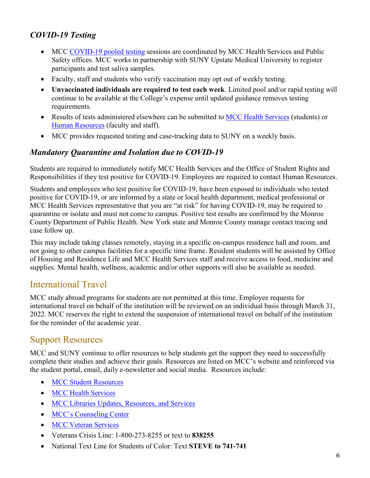#### *COVID-19 Testing*

- MCC [COVID-19 pooled testing](https://www.monroecc.edu/coronavirus/pooled-covid-19-testing/) sessions are coordinated by MCC Health Services and Public Safety offices. MCC works in partnership with SUNY Upstate Medical University to register participants and test saliva samples.
- Faculty, staff and students who verify vaccination may opt out of weekly testing.
- **Unvaccinated individuals are required to test each week**. Limited pool and/or rapid testing will continue to be available at the College's expense until updated guidance removes testing requirements.
- Results of tests administered elsewhere can be submitted to [MCC Health Services](mailto:healthsvc@monroecc.edu) (students) or [Human Resources](mailto:hr@monroecc.edu) (faculty and staff).
- MCC provides requested testing and case-tracking data to SUNY on a weekly basis.

#### *Mandatory Quarantine and Isolation due to COVID-19*

Students are required to immediately notify MCC Health Services and the Office of Student Rights and Responsibilities if they test positive for COVID-19. Employees are required to contact Human Resources.

Students and employees who test positive for COVID-19, have been exposed to individuals who tested positive for COVID-19, or are informed by a state or local health department, medical professional or MCC Health Services representative that you are "at risk" for having COVID-19, may be required to quarantine or isolate and must not come to campus. Positive test results are confirmed by the Monroe County Department of Public Health. New York state and Monroe County manage contact tracing and case follow up.

This may include taking classes remotely, staying in a specific on-campus residence hall and room, and not going to other campus facilities for a specific time frame. Resident students will be assisted by Office of Housing and Residence Life and MCC Health Services staff and receive access to food, medicine and supplies. Mental health, wellness, academic and/or other supports will also be available as needed.

#### International Travel

MCC study abroad programs for students are not permitted at this time. Employee requests for international travel on behalf of the institution will be reviewed on an individual basis through March 31, 2022. MCC reserves the right to extend the suspension of international travel on behalf of the institution for the reminder of the academic year.

#### Support Resources

MCC and SUNY continue to offer resources to help students get the support they need to successfully complete their studies and achieve their goals. Resources are listed on MCC's website and reinforced via the student portal, email, daily e-newsletter and social media. Resources include:

- [MCC Student Resources](https://www.monroecc.edu/coronavirus/student-resources-faqs/)
- [MCC Health Services](https://www.monroecc.edu/depts/stuhealth/)
- [MCC Libraries Updates, Resources, and Services](https://libguides.monroecc.edu/covid19)
- [MCC's Counseling Center](https://www.monroecc.edu/depts/counsel/)
- [MCC Veteran Services](https://www.monroecc.edu/depts/veterans/)
- Veterans Crisis Line: 1-800-273-8255 or text to **[838255](sms:838255)**
- National Text Line for Students of Color: Text **STEVE to 741-741**